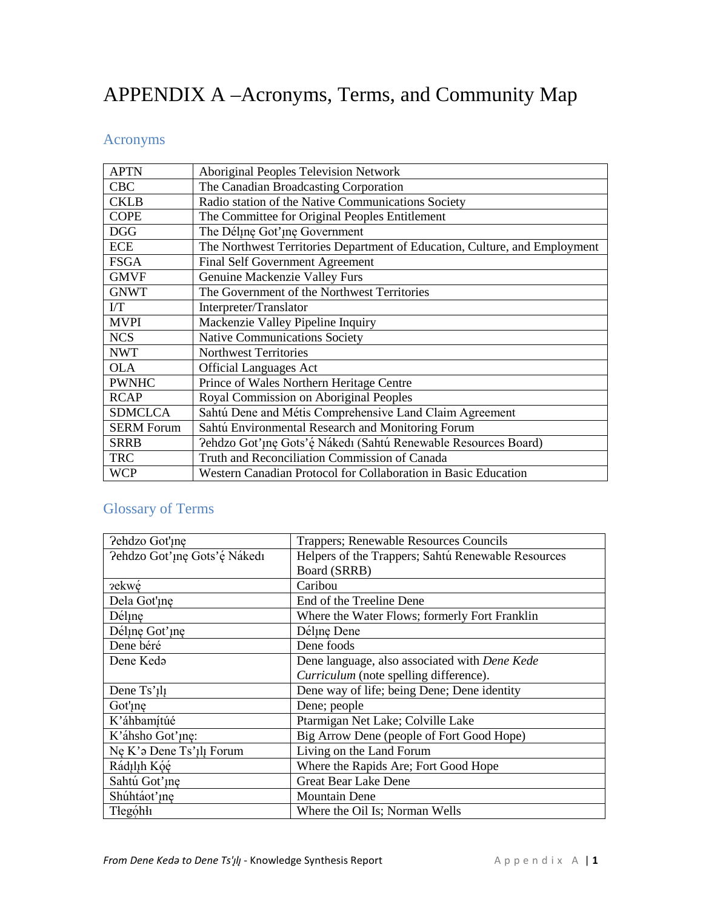## APPENDIX A -Acronyms, Terms, and Community Map

## Acronyms

| <b>APTN</b>       | <b>Aboriginal Peoples Television Network</b>                               |
|-------------------|----------------------------------------------------------------------------|
| <b>CBC</b>        | The Canadian Broadcasting Corporation                                      |
| <b>CKLB</b>       | Radio station of the Native Communications Society                         |
| <b>COPE</b>       | The Committee for Original Peoples Entitlement                             |
| <b>DGG</b>        | The Déline Got'ine Government                                              |
| <b>ECE</b>        | The Northwest Territories Department of Education, Culture, and Employment |
| <b>FSGA</b>       | <b>Final Self Government Agreement</b>                                     |
| <b>GMVF</b>       | Genuine Mackenzie Valley Furs                                              |
| <b>GNWT</b>       | The Government of the Northwest Territories                                |
| $\overline{LT}$   | Interpreter/Translator                                                     |
| <b>MVPI</b>       | Mackenzie Valley Pipeline Inquiry                                          |
| <b>NCS</b>        | <b>Native Communications Society</b>                                       |
| <b>NWT</b>        | <b>Northwest Territories</b>                                               |
| <b>OLA</b>        | <b>Official Languages Act</b>                                              |
| <b>PWNHC</b>      | Prince of Wales Northern Heritage Centre                                   |
| <b>RCAP</b>       | Royal Commission on Aboriginal Peoples                                     |
| <b>SDMCLCA</b>    | Sahtú Dene and Métis Comprehensive Land Claim Agreement                    |
| <b>SERM Forum</b> | Sahtú Environmental Research and Monitoring Forum                          |
| <b>SRRB</b>       | Pehdzo Got'ıne Gots'é Nákedı (Sahtú Renewable Resources Board)             |
| <b>TRC</b>        | Truth and Reconciliation Commission of Canada                              |
| <b>WCP</b>        | Western Canadian Protocol for Collaboration in Basic Education             |

## **Glossary of Terms**

| Pehdzo Got'ıne                       | Trappers; Renewable Resources Councils             |
|--------------------------------------|----------------------------------------------------|
| Pehdzo Got'ıne Gots'é Nákedı         | Helpers of the Trappers; Sahtú Renewable Resources |
|                                      | Board (SRRB)                                       |
| <i>rekwé</i>                         | Caribou                                            |
| Dela Got'ine                         | End of the Treeline Dene                           |
| Déline                               | Where the Water Flows; formerly Fort Franklin      |
| Déline Got'ine                       | Déline Dene                                        |
| Dene béré                            | Dene foods                                         |
| Dene Keda                            | Dene language, also associated with Dene Kede      |
|                                      | Curriculum (note spelling difference).             |
| Dene Ts' <sub>1</sub> l <sub>1</sub> | Dene way of life; being Dene; Dene identity        |
| Got' <sub>Ine</sub>                  | Dene; people                                       |
| K'áhbamítúé                          | Ptarmigan Net Lake; Colville Lake                  |
| K'áhsho Got'ine:                     | Big Arrow Dene (people of Fort Good Hope)          |
| Ne K'a Dene Ts'1l1 Forum             | Living on the Land Forum                           |
| Rádılıh Kóé                          | Where the Rapids Are; Fort Good Hope               |
| Sahtú Got'ine                        | <b>Great Bear Lake Dene</b>                        |
| Shúhtáot'ine                         | <b>Mountain Dene</b>                               |
| Tłegóhłi                             | Where the Oil Is; Norman Wells                     |